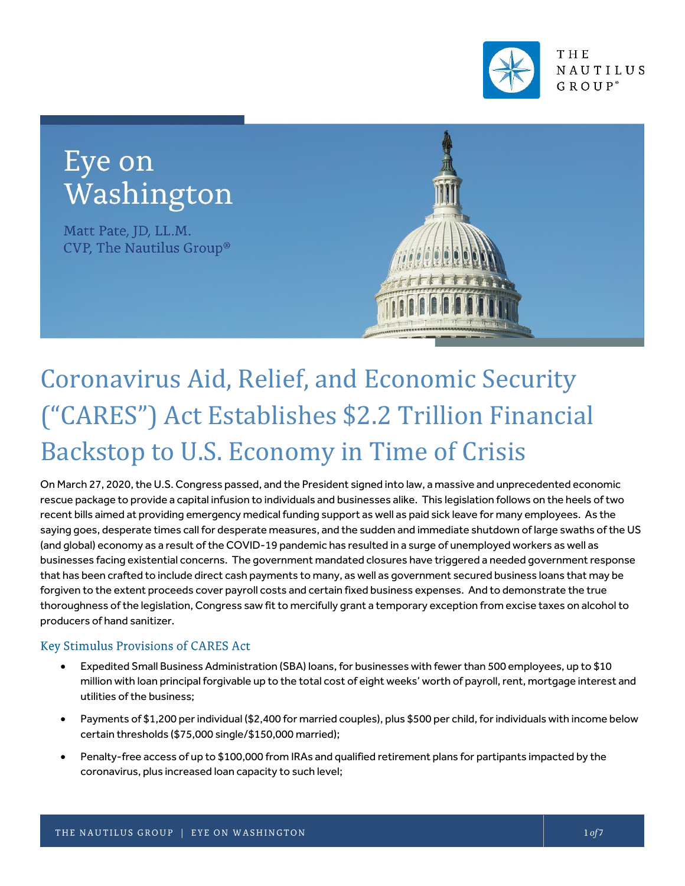

## Eye on Washington

Matt Pate, JD, LL.M. CVP, The Nautilus Group®



# Coronavirus Aid, Relief, and Economic Security ("CARES") Act Establishes \$2.2 Trillion Financial Backstop to U.S. Economy in Time of Crisis

On March 27, 2020, the U.S. Congress passed, and the President signed into law, a massive and unprecedented economic rescue package to provide a capital infusion to individuals and businesses alike. This legislation follows on the heels of two recent bills aimed at providing emergency medical funding support as well as paid sick leave for many employees. As the saying goes, desperate times call for desperate measures, and the sudden and immediate shutdown of large swaths of the US (and global) economy as a result of the COVID-19 pandemic has resulted in a surge of unemployed workers as well as businesses facing existential concerns. The government mandated closures have triggered a needed government response that has been crafted to include direct cash payments to many, as well as government secured business loans that may be forgiven to the extent proceeds cover payroll costs and certain fixed business expenses. And to demonstrate the true thoroughness of the legislation, Congress saw fit to mercifully grant a temporary exception from excise taxes on alcohol to producers of hand sanitizer.

#### Key Stimulus Provisions of CARES Act

- Expedited Small Business Administration (SBA) loans, for businesses with fewer than 500 employees, up to \$10 million with loan principal forgivable up to the total cost of eight weeks' worth of payroll, rent, mortgage interest and utilities of the business;
- Payments of \$1,200 per individual (\$2,400 for married couples), plus \$500 per child, for individuals with income below certain thresholds (\$75,000 single/\$150,000 married);
- Penalty-free access of up to \$100,000 from IRAs and qualified retirement plans for partipants impacted by the coronavirus, plus increased loan capacity to such level;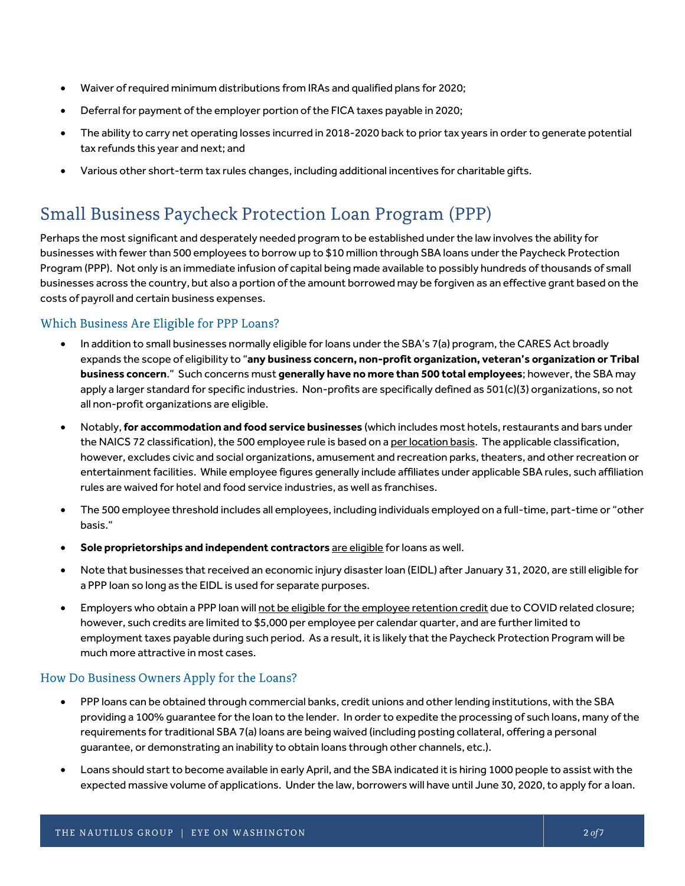- Waiver of required minimum distributions from IRAs and qualified plans for 2020;
- Deferral for payment of the employer portion of the FICA taxes payable in 2020;
- The ability to carry net operating losses incurred in 2018-2020 back to prior tax years in order to generate potential tax refunds this year and next; and
- Various other short-term tax rules changes, including additional incentives for charitable gifts.

## **Small Business Paycheck Protection Loan Program (PPP)**

Perhaps the most significant and desperately needed program to be established under the law involves the ability for businesses with fewer than 500 employees to borrow up to \$10 million through SBA loans under the Paycheck Protection Program (PPP). Not only is an immediate infusion of capital being made available to possibly hundreds of thousands of small businesses across the country, but also a portion of the amount borrowed may be forgiven as an effective grant based on the costs of payroll and certain business expenses.

#### Which Business Are Eligible for PPP Loans?

- In addition to small businesses normally eligible for loans under the SBA's 7(a) program, the CARES Act broadly expands the scope of eligibility to "**any business concern, non-profit organization, veteran's organization or Tribal business concern**." Such concerns must **generally have no more than 500 total employees**; however,the SBA may apply a larger standard for specific industries. Non-profits are specifically defined as 501(c)(3) organizations, so not all non-profit organizations are eligible.
- Notably, **for accommodation and food service businesses** (which includes most hotels, restaurants and bars under the NAICS 72 classification), the 500 employee rule is based on a per location basis. The applicable classification, however, excludes civic and social organizations, amusement and recreation parks, theaters, and other recreation or entertainment facilities. While employee figures generally include affiliates under applicable SBA rules, such affiliation rules are waived for hotel and food service industries, as well as franchises.
- The 500 employee threshold includes all employees, including individuals employed on a full-time, part-time or "other basis."
- **Sole proprietorships and independent contractors** are eligible for loans as well.
- Note that businesses that received an economic injury disaster loan (EIDL) after January 31, 2020, are still eligible for a PPP loan so long as the EIDL is used for separate purposes.
- Employers who obtain a PPP loan will not be eligible for the employee retention credit due to COVID related closure; however, such credits are limited to \$5,000 per employee per calendar quarter, and are further limited to employment taxes payable during such period. As a result, it is likely that the Paycheck Protection Program will be much more attractive in most cases.

#### How Do Business Owners Apply for the Loans?

- PPP loans can be obtained through commercial banks, credit unions and other lending institutions, with the SBA providing a 100% guarantee for the loan to the lender. In order to expedite the processing of such loans, many of the requirements for traditional SBA 7(a) loans are being waived (including posting collateral, offering a personal guarantee, or demonstrating an inability to obtain loans through other channels, etc.).
- Loans should start to become available in early April, and the SBA indicated it is hiring 1000 people to assist with the expected massive volume of applications. Under the law, borrowers will have until June 30, 2020, to apply for a loan.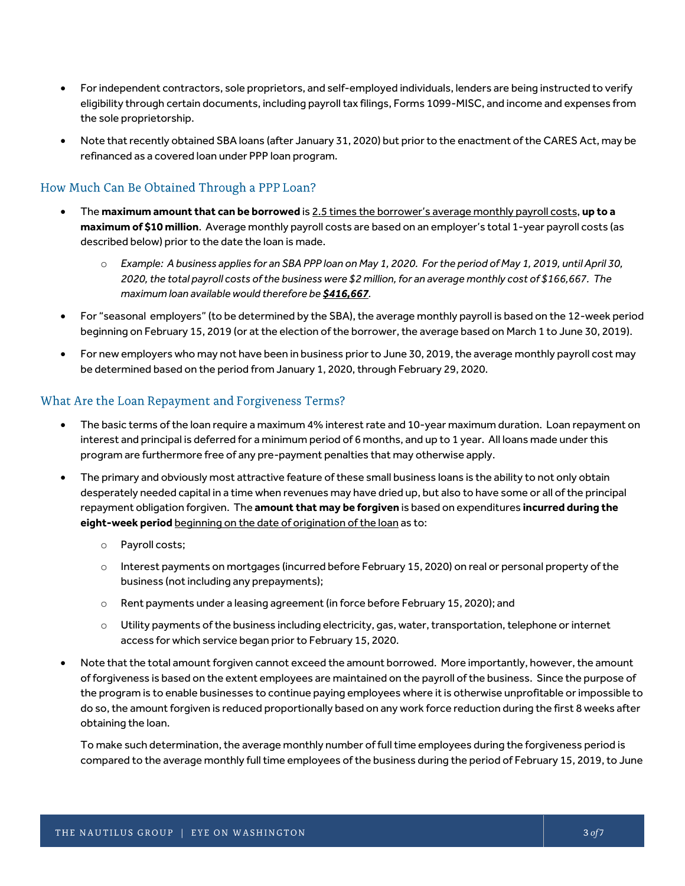- For independent contractors, sole proprietors, and self-employed individuals, lenders are being instructed to verify eligibility through certain documents, including payroll tax filings, Forms 1099-MISC, and income and expenses from the sole proprietorship.
- Note that recently obtained SBA loans (after January 31, 2020) but prior to the enactment of the CARES Act, may be refinanced as a covered loan under PPP loan program.

#### How Much Can Be Obtained Through a PPP Loan?

- The **maximum amount that can be borrowed** is 2.5 times the borrower's average monthly payroll costs, **up to a maximum of \$10 million**. Average monthly payroll costs are based on an employer's total 1-year payroll costs (as described below) prior to the date the loan is made.
	- o *Example: A business applies for an SBA PPP loan on May 1, 2020. For the period of May 1, 2019, until April 30, 2020, the total payroll costs of the business were \$2 million, for an average monthly cost of \$166,667. The maximum loan available would therefore be \$416,667.*
- For "seasonal employers" (to be determined by the SBA), the average monthly payroll is based on the 12-week period beginning on February 15, 2019 (or at the election of the borrower, the average based on March 1 to June 30, 2019).
- For new employers who may not have been in business prior to June 30, 2019, the average monthly payroll cost may be determined based on the period from January 1, 2020, through February 29, 2020.

#### What Are the Loan Repayment and Forgiveness Terms?

- The basic terms of the loan require a maximum 4% interest rate and 10-year maximum duration. Loan repayment on interest and principal is deferred for a minimum period of 6 months, and up to 1 year. All loans made under this program are furthermore free of any pre-payment penalties that may otherwise apply.
- The primary and obviously most attractive feature of these small business loans is the ability to not only obtain desperately needed capital in a time when revenues may have dried up, but also to have some or all of the principal repayment obligation forgiven. The **amount that may be forgiven** is based on expenditures **incurred during the**  eight-week period beginning on the date of origination of the loan as to:
	- o Payroll costs;
	- o Interest payments on mortgages (incurred before February 15, 2020) on real or personal property of the business (not including any prepayments);
	- o Rent payments under a leasing agreement (in force before February 15, 2020); and
	- $\circ$  Utility payments of the business including electricity, gas, water, transportation, telephone or internet access for which service began prior to February 15, 2020.
- Note that the total amount forgiven cannot exceed the amount borrowed. More importantly, however, the amount of forgiveness is based on the extent employees are maintained on the payroll of the business. Since the purpose of the program is to enable businesses to continue paying employees where it is otherwise unprofitable or impossible to do so, the amount forgiven is reduced proportionally based on any work force reduction during the first 8 weeks after obtaining the loan.

To make such determination, the average monthly number of full time employees during the forgiveness period is compared to the average monthly full time employees of the business during the period of February 15, 2019, to June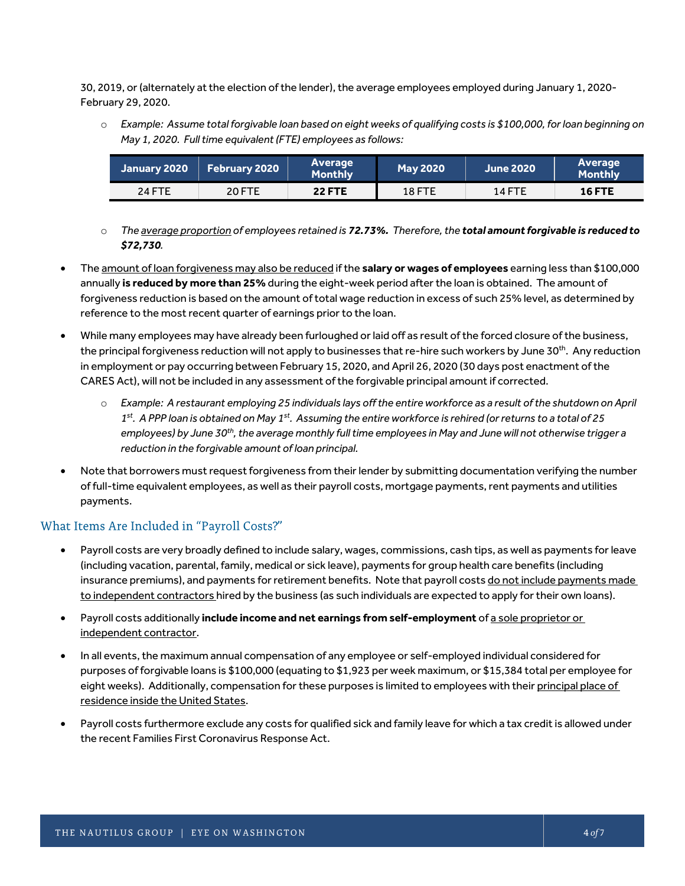30, 2019, or (alternately at the election of the lender), the average employees employed during January 1, 2020- February 29, 2020.

o *Example: Assume total forgivable loan based on eight weeks of qualifying costs is \$100,000, for loan beginning on May 1, 2020. Full time equivalent (FTE) employees as follows:*

| January 2020 | <b>February 2020</b> | Average<br><b>Monthly</b> | <b>May 2020</b> | June 2020     | Average<br><b>Monthly</b> |
|--------------|----------------------|---------------------------|-----------------|---------------|---------------------------|
| 24 FTE       | <b>20 FTE</b>        | <b>22 FTE</b>             | <b>18 FTE</b>   | <b>14 FTE</b> | <b>16 FTE</b>             |

- o *The average proportion of employees retained is 72.73%. Therefore, the total amount forgivable is reduced to \$72,730.*
- The amount of loan forgiveness may also be reduced if the **salary or wages of employees** earning less than \$100,000 annually **is reduced by more than 25%** during the eight-week period after the loan is obtained. The amount of forgiveness reduction is based on the amount of total wage reduction in excess of such 25% level, as determined by reference to the most recent quarter of earnings prior to the loan.
- While many employees may have already been furloughed or laid off as result of the forced closure of the business, the principal forgiveness reduction will not apply to businesses that re-hire such workers by June 30<sup>th</sup>. Any reduction in employment or pay occurring between February 15, 2020, and April 26, 2020 (30 days post enactment of the CARES Act), will not be included in any assessment of the forgivable principal amount if corrected.
	- o *Example: A restaurant employing 25 individuals lays off the entire workforce as a result of the shutdown on April 1 st. A PPP loan is obtained on May 1st. Assuming the entire workforce is rehired (or returns to a total of 25 employees) by June 30th, the average monthly full time employees in May and June will not otherwise trigger a reduction in the forgivable amount of loan principal.*
- Note that borrowers must request forgiveness from their lender by submitting documentation verifying the number of full-time equivalent employees, as well as their payroll costs, mortgage payments, rent payments and utilities payments.

#### What Items Are Included in "Payroll Costs?"

- Payroll costs are very broadly defined to include salary, wages, commissions, cash tips, as well as payments for leave (including vacation, parental, family, medical or sick leave), payments for group health care benefits (including insurance premiums), and payments for retirement benefits. Note that payroll costs do not include payments made to independent contractors hired by the business (as such individuals are expected to apply for their own loans).
- Payroll costs additionally **include income and net earnings from self-employment** of a sole proprietor or independent contractor.
- In all events, the maximum annual compensation of any employee or self-employed individual considered for purposes of forgivable loans is \$100,000 (equating to \$1,923 per week maximum, or \$15,384 total per employee for eight weeks). Additionally, compensation for these purposes is limited to employees with their principal place of residence inside the United States.
- Payroll costs furthermore exclude any costs for qualified sick and family leave for which a tax credit is allowed under the recent Families First Coronavirus Response Act.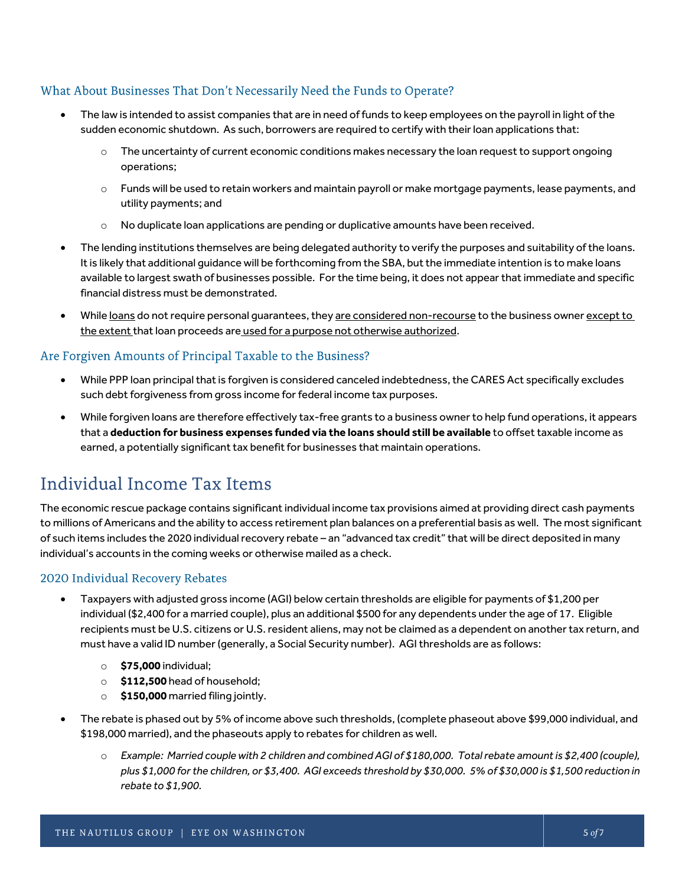#### What About Businesses That Don't Necessarily Need the Funds to Operate?

- The law is intended to assist companies that are in need of funds to keep employees on the payroll in light of the sudden economic shutdown. As such, borrowers are required to certify with their loan applications that:
	- $\circ$  The uncertainty of current economic conditions makes necessary the loan request to support ongoing operations;
	- $\circ$  Funds will be used to retain workers and maintain payroll or make mortgage payments, lease payments, and utility payments; and
	- o No duplicate loan applications are pending or duplicative amounts have been received.
- The lending institutions themselves are being delegated authority to verify the purposes and suitability of the loans. It is likely that additional guidance will be forthcoming from the SBA, but the immediate intention is to make loans available to largest swath of businesses possible. For the time being, it does not appear that immediate and specific financial distress must be demonstrated.
- While loans do not require personal guarantees, they are considered non-recourse to the business owner except to the extent that loan proceeds are used for a purpose not otherwise authorized.

#### Are Forgiven Amounts of Principal Taxable to the Business?

- While PPP loan principal that is forgiven is considered canceled indebtedness, the CARES Act specifically excludes such debt forgiveness from gross income for federal income tax purposes.
- While forgiven loans are therefore effectively tax-free grants to a business owner to help fund operations, it appears that a **deduction for business expenses funded via the loans should still be available** to offset taxable income as earned, a potentially significant tax benefit for businesses that maintain operations.

### Individual Income Tax Items

The economic rescue package contains significant individual income tax provisions aimed at providing direct cash payments to millions of Americans and the ability to access retirement plan balances on a preferential basis as well. The most significant of such items includes the 2020 individual recovery rebate – an "advanced tax credit" that will be direct deposited in many individual's accounts in the coming weeks or otherwise mailed as a check.

#### 2020 Individual Recovery Rebates

- Taxpayers with adjusted gross income (AGI) below certain thresholds are eligible for payments of \$1,200 per individual (\$2,400 for a married couple), plus an additional \$500 for any dependents under the age of 17. Eligible recipients must be U.S. citizens or U.S. resident aliens, may not be claimed as a dependent on another tax return, and must have a valid ID number (generally, a Social Security number). AGI thresholds are as follows:
	- o **\$75,000** individual;
	- o **\$112,500** head of household;
	- o **\$150,000** married filing jointly.
- The rebate is phased out by 5% of income above such thresholds, (complete phaseout above \$99,000 individual, and \$198,000 married), and the phaseouts apply to rebates for children as well.
	- o *Example: Married couple with 2 children and combined AGI of \$180,000. Total rebate amount is \$2,400 (couple), plus \$1,000 for the children, or \$3,400. AGI exceeds threshold by \$30,000. 5% of \$30,000 is \$1,500 reduction in rebate to \$1,900.*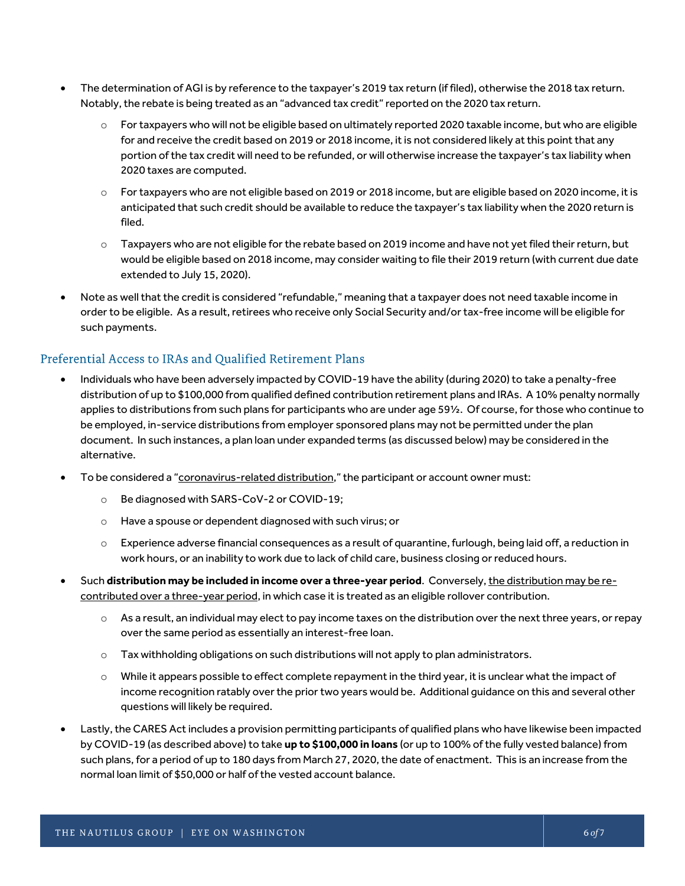- The determination of AGI is by reference to the taxpayer's 2019 tax return (if filed), otherwise the 2018 tax return. Notably, the rebate is being treated as an "advanced tax credit" reported on the 2020 tax return.
	- $\circ$  For taxpayers who will not be eligible based on ultimately reported 2020 taxable income, but who are eligible for and receive the credit based on 2019 or 2018 income, it is not considered likely at this point that any portion of the tax credit will need to be refunded, or will otherwise increase the taxpayer's tax liability when 2020 taxes are computed.
	- o For taxpayers who are not eligible based on 2019 or 2018 income, but are eligible based on 2020 income, it is anticipated that such credit should be available to reduce the taxpayer's tax liability when the 2020 return is filed.
	- o Taxpayers who are not eligible for the rebate based on 2019 income and have not yet filed their return, but would be eligible based on 2018 income, may consider waiting to file their 2019 return (with current due date extended to July 15, 2020).
- Note as well that the credit is considered "refundable," meaning that a taxpayer does not need taxable income in order to be eligible. As a result, retirees who receive only Social Security and/ortax-free income will be eligible for such payments.

#### Preferential Access to IRAs and Qualified Retirement Plans

- Individuals who have been adversely impacted by COVID-19 have the ability (during 2020) to take a penalty-free distribution of up to \$100,000 from qualified defined contribution retirement plans and IRAs. A 10% penalty normally applies to distributions from such plans for participants who are under age 59½. Of course, for those who continue to be employed, in-service distributions from employer sponsored plans may not be permitted under the plan document. In such instances, a plan loan under expanded terms (as discussed below) may be considered in the alternative.
- To be considered a "coronavirus-related distribution," the participant or account owner must:
	- o Be diagnosed with SARS-CoV-2 or COVID-19;
	- o Have a spouse or dependent diagnosed with such virus; or
	- $\circ$  Experience adverse financial consequences as a result of quarantine, furlough, being laid off, a reduction in work hours, or an inability to work due to lack of child care, business closing or reduced hours.
- Such **distribution may be included in income over a three-year period**. Conversely, the distribution may be recontributed over a three-year period, in which case it is treated as an eligible rollover contribution.
	- $\circ$  As a result, an individual may elect to pay income taxes on the distribution over the next three years, or repay over the same period as essentially an interest-free loan.
	- $\circ$  Tax withholding obligations on such distributions will not apply to plan administrators.
	- o While it appears possible to effect complete repayment in the third year, it is unclear what the impact of income recognition ratably over the prior two years would be. Additional guidance on this and several other questions will likely be required.
- Lastly, the CARES Act includes a provision permitting participants of qualified plans who have likewise been impacted by COVID-19 (as described above) to take **up to \$100,000 in loans** (or up to 100% of the fully vested balance) from such plans, for a period of up to 180 days from March 27, 2020, the date of enactment. This is an increase from the normal loan limit of \$50,000 or half of the vested account balance.